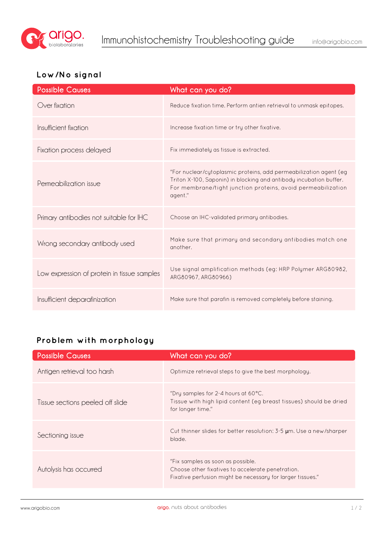

## **Low/No signal**

| <b>Possible Causes</b>                      | What can you do?                                                                                                                                                                                                   |
|---------------------------------------------|--------------------------------------------------------------------------------------------------------------------------------------------------------------------------------------------------------------------|
| Over fixation                               | Reduce fixation time. Perform antien retrieval to unmask epitopes.                                                                                                                                                 |
| Insufficient fixation                       | Increase fixation time or try other fixative.                                                                                                                                                                      |
| Fixation process delayed                    | Fix immediately as tissue is extracted.                                                                                                                                                                            |
| Permeabilization issue                      | "For nuclear/cytoplasmic proteins, add permeabilization agent (eg<br>Triton X-100, Saponin) in blocking and antibody incubation buffer.<br>For membrane/tight junction proteins, avoid permeabilization<br>agent." |
| Primary antibodies not suitable for IHC     | Choose an IHC-validated primary antibodies.                                                                                                                                                                        |
| Wrong secondary antibody used               | Make sure that primary and secondary antibodies match one<br>another.                                                                                                                                              |
| Low expression of protein in tissue samples | Use signal amplification methods (eg: HRP Polymer ARG80982,<br>ARG80967, ARG80966)                                                                                                                                 |
| Insufficient deparafinization               | Make sure that parafin is removed completely before staining.                                                                                                                                                      |

## **Problem with morphology**

| <b>Possible Causes</b>           | What can you do?                                                                                                                                     |
|----------------------------------|------------------------------------------------------------------------------------------------------------------------------------------------------|
| Antigen retrieval too harsh      | Optimize retrieval steps to give the best morphology.                                                                                                |
| Tissue sections peeled off slide | "Dry samples for 2-4 hours at 60 $^{\circ}$ C.<br>Tissue with high lipid content (eg breast tissues) should be dried<br>for longer time."            |
| Sectioning issue                 | Cut thinner slides for better resolution: $3-5$ µm. Use a new/sharper<br>blade.                                                                      |
| Autolysis has occurred           | "Fix samples as soon as possible.<br>Choose other fixatives to accelerate penetration.<br>Fixative perfusion might be necessary for larger tissues." |